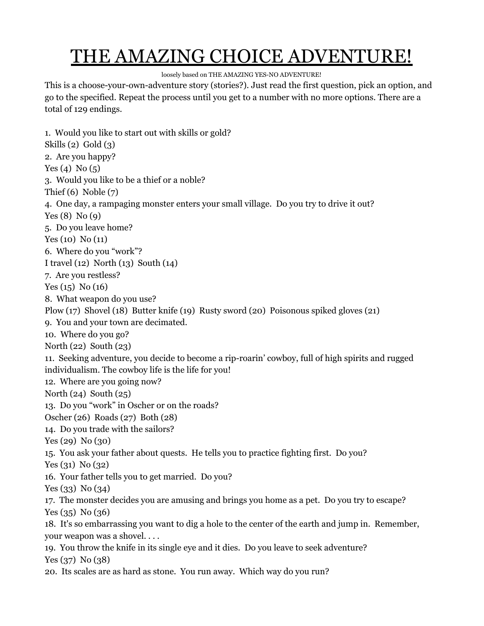## THE AMAZING CHOICE ADVENTURE!

loosely based on THE AMAZING YES-NO ADVENTURE!

This is a choose-your-own-adventure story (stories?). Just read the first question, pick an option, and go to the specified. Repeat the process until you get to a number with no more options. There are a total of 129 endings.

1. Would you like to start out with skills or gold? Skills (2) Gold (3) 2. Are you happy? Yes (4) No (5) 3. Would you like to be a thief or a noble? Thief (6) Noble (7) 4. One day, a rampaging monster enters your small village. Do you try to drive it out? Yes (8) No (9) 5. Do you leave home? Yes (10) No (11) 6. Where do you "work"? I travel (12) North (13) South (14) 7. Are you restless? Yes (15) No (16) 8. What weapon do you use? Plow (17) Shovel (18) Butter knife (19) Rusty sword (20) Poisonous spiked gloves (21) 9. You and your town are decimated. 10. Where do you go? North (22) South (23) 11. Seeking adventure, you decide to become a rip-roarin' cowboy, full of high spirits and rugged individualism. The cowboy life is the life for you! 12. Where are you going now? North (24) South (25) 13. Do you "work" in Oscher or on the roads? Oscher (26) Roads (27) Both (28) 14. Do you trade with the sailors? Yes (29) No (30) 15. You ask your father about quests. He tells you to practice fighting first. Do you? Yes (31) No (32) 16. Your father tells you to get married. Do you? Yes (33) No (34) 17. The monster decides you are amusing and brings you home as a pet. Do you try to escape? Yes (35) No (36) 18. It's so embarrassing you want to dig a hole to the center of the earth and jump in. Remember, your weapon was a shovel. . . . 19. You throw the knife in its single eye and it dies. Do you leave to seek adventure? Yes (37) No (38) 20. Its scales are as hard as stone. You run away. Which way do you run?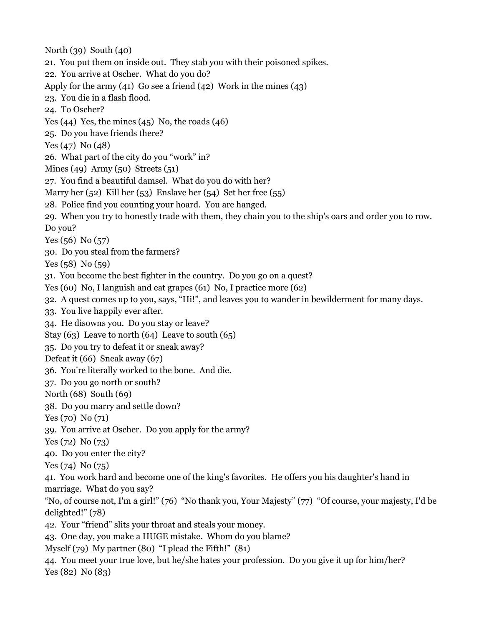North (39) South (40) 21. You put them on inside out. They stab you with their poisoned spikes. 22. You arrive at Oscher. What do you do? Apply for the army (41) Go see a friend (42) Work in the mines (43) 23. You die in a flash flood. 24. To Oscher? Yes  $(44)$  Yes, the mines  $(45)$  No, the roads  $(46)$ 25. Do you have friends there? Yes (47) No (48) 26. What part of the city do you "work" in? Mines (49) Army (50) Streets (51) 27. You find a beautiful damsel. What do you do with her? Marry her (52) Kill her (53) Enslave her (54) Set her free (55) 28. Police find you counting your hoard. You are hanged. 29. When you try to honestly trade with them, they chain you to the ship's oars and order you to row. Do you? Yes (56) No (57) 30. Do you steal from the farmers? Yes  $(58)$  No  $(59)$ 31. You become the best fighter in the country. Do you go on a quest? Yes (60) No, I languish and eat grapes (61) No, I practice more (62) 32. A quest comes up to you, says, "Hi!", and leaves you to wander in bewilderment for many days. 33. You live happily ever after. 34. He disowns you. Do you stay or leave? Stay (63) Leave to north (64) Leave to south (65) 35. Do you try to defeat it or sneak away? Defeat it (66) Sneak away (67) 36. You're literally worked to the bone. And die. 37. Do you go north or south? North (68) South (69) 38. Do you marry and settle down? Yes (70) No (71) 39. You arrive at Oscher. Do you apply for the army? Yes (72) No (73) 40. Do you enter the city? Yes (74) No (75) 41. You work hard and become one of the king's favorites. He offers you his daughter's hand in marriage. What do you say? "No, of course not, I'm a girl!" (76) "No thank you, Your Majesty" (77) "Of course, your majesty, I'd be delighted!" (78) 42. Your "friend" slits your throat and steals your money. 43. One day, you make a HUGE mistake. Whom do you blame? Myself (79) My partner (80) "I plead the Fifth!" (81) 44. You meet your true love, but he/she hates your profession. Do you give it up for him/her? Yes (82) No (83)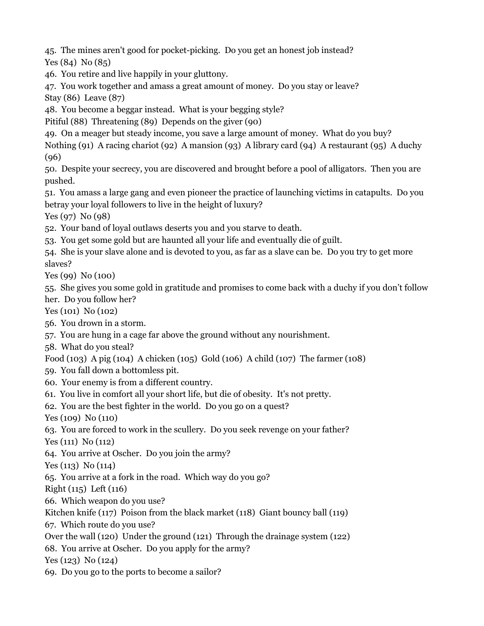45. The mines aren't good for pocket-picking. Do you get an honest job instead?

Yes (84) No (85)

46. You retire and live happily in your gluttony.

47. You work together and amass a great amount of money. Do you stay or leave? Stay (86) Leave (87)

48. You become a beggar instead. What is your begging style?

Pitiful (88) Threatening (89) Depends on the giver (90)

49. On a meager but steady income, you save a large amount of money. What do you buy?

Nothing (91) A racing chariot (92) A mansion (93) A library card (94) A restaurant (95) A duchy (96)

50. Despite your secrecy, you are discovered and brought before a pool of alligators. Then you are pushed.

51. You amass a large gang and even pioneer the practice of launching victims in catapults. Do you betray your loyal followers to live in the height of luxury?

Yes (97) No (98)

52. Your band of loyal outlaws deserts you and you starve to death.

53. You get some gold but are haunted all your life and eventually die of guilt.

54. She is your slave alone and is devoted to you, as far as a slave can be. Do you try to get more slaves?

Yes (99) No (100)

55. She gives you some gold in gratitude and promises to come back with a duchy if you don't follow her. Do you follow her?

Yes (101) No (102)

56. You drown in a storm.

57. You are hung in a cage far above the ground without any nourishment.

58. What do you steal?

Food (103) A pig (104) A chicken (105) Gold (106) A child (107) The farmer (108)

59. You fall down a bottomless pit.

60. Your enemy is from a different country.

61. You live in comfort all your short life, but die of obesity. It's not pretty.

62. You are the best fighter in the world. Do you go on a quest?

Yes (109) No (110)

63. You are forced to work in the scullery. Do you seek revenge on your father?

Yes (111) No (112)

64. You arrive at Oscher. Do you join the army?

Yes (113) No (114)

65. You arrive at a fork in the road. Which way do you go?

Right (115) Left (116)

66. Which weapon do you use?

Kitchen knife (117) Poison from the black market (118) Giant bouncy ball (119)

67. Which route do you use?

Over the wall (120) Under the ground (121) Through the drainage system (122)

68. You arrive at Oscher. Do you apply for the army?

Yes (123) No (124)

69. Do you go to the ports to become a sailor?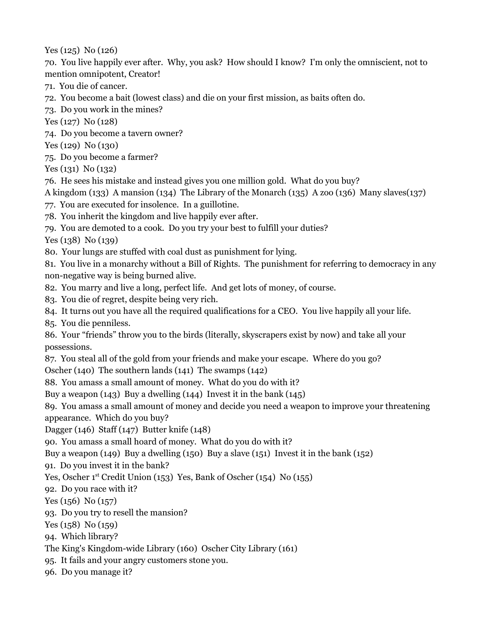Yes (125) No (126)

70. You live happily ever after. Why, you ask? How should I know? I'm only the omniscient, not to mention omnipotent, Creator!

- 71. You die of cancer.
- 72. You become a bait (lowest class) and die on your first mission, as baits often do.
- 73. Do you work in the mines?
- Yes (127) No (128)
- 74. Do you become a tavern owner?
- Yes (129) No (130)
- 75. Do you become a farmer?
- Yes (131) No (132)
- 76. He sees his mistake and instead gives you one million gold. What do you buy?
- A kingdom (133) A mansion (134) The Library of the Monarch (135) A zoo (136) Many slaves(137)
- 77. You are executed for insolence. In a guillotine.
- 78. You inherit the kingdom and live happily ever after.
- 79. You are demoted to a cook. Do you try your best to fulfill your duties?

Yes (138) No (139)

- 80. Your lungs are stuffed with coal dust as punishment for lying.
- 81. You live in a monarchy without a Bill of Rights. The punishment for referring to democracy in any non-negative way is being burned alive.
- 82. You marry and live a long, perfect life. And get lots of money, of course.
- 83. You die of regret, despite being very rich.
- 84. It turns out you have all the required qualifications for a CEO. You live happily all your life.

85. You die penniless.

86. Your "friends" throw you to the birds (literally, skyscrapers exist by now) and take all your possessions.

87. You steal all of the gold from your friends and make your escape. Where do you go?

Oscher (140) The southern lands (141) The swamps (142)

88. You amass a small amount of money. What do you do with it?

Buy a weapon (143) Buy a dwelling (144) Invest it in the bank (145)

89. You amass a small amount of money and decide you need a weapon to improve your threatening appearance. Which do you buy?

Dagger (146) Staff (147) Butter knife (148)

90. You amass a small hoard of money. What do you do with it?

Buy a weapon (149) Buy a dwelling (150) Buy a slave (151) Invest it in the bank (152)

91. Do you invest it in the bank?

Yes, Oscher 1<sup>st</sup> Credit Union (153) Yes, Bank of Oscher (154) No (155)

92. Do you race with it?

Yes (156) No (157)

93. Do you try to resell the mansion?

Yes (158) No (159)

- 94. Which library?
- The King's Kingdom-wide Library (160) Oscher City Library (161)

95. It fails and your angry customers stone you.

96. Do you manage it?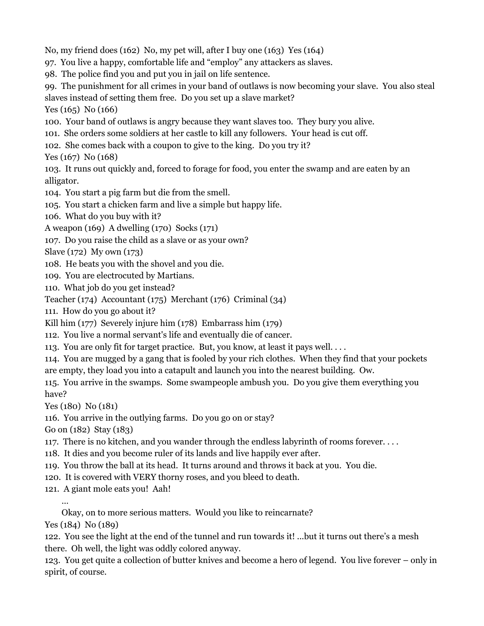No, my friend does (162) No, my pet will, after I buy one (163) Yes (164)

97. You live a happy, comfortable life and "employ" any attackers as slaves.

98. The police find you and put you in jail on life sentence.

99. The punishment for all crimes in your band of outlaws is now becoming your slave. You also steal slaves instead of setting them free. Do you set up a slave market?

Yes (165) No (166)

100. Your band of outlaws is angry because they want slaves too. They bury you alive.

101. She orders some soldiers at her castle to kill any followers. Your head is cut off.

102. She comes back with a coupon to give to the king. Do you try it?

Yes (167) No (168)

103. It runs out quickly and, forced to forage for food, you enter the swamp and are eaten by an alligator.

104. You start a pig farm but die from the smell.

105. You start a chicken farm and live a simple but happy life.

106. What do you buy with it?

A weapon (169) A dwelling (170) Socks (171)

107. Do you raise the child as a slave or as your own?

Slave (172) My own (173)

108. He beats you with the shovel and you die.

109. You are electrocuted by Martians.

110. What job do you get instead?

Teacher (174) Accountant (175) Merchant (176) Criminal (34)

111. How do you go about it?

Kill him (177) Severely injure him (178) Embarrass him (179)

112. You live a normal servant's life and eventually die of cancer.

113. You are only fit for target practice. But, you know, at least it pays well. . . .

114. You are mugged by a gang that is fooled by your rich clothes. When they find that your pockets are empty, they load you into a catapult and launch you into the nearest building. Ow.

115. You arrive in the swamps. Some swampeople ambush you. Do you give them everything you have?

Yes (180) No (181)

116. You arrive in the outlying farms. Do you go on or stay?

Go on (182) Stay (183)

117. There is no kitchen, and you wander through the endless labyrinth of rooms forever. . . .

118. It dies and you become ruler of its lands and live happily ever after.

119. You throw the ball at its head. It turns around and throws it back at you. You die.

120. It is covered with VERY thorny roses, and you bleed to death.

121. A giant mole eats you! Aah!

…

Okay, on to more serious matters. Would you like to reincarnate?

Yes (184) No (189)

122. You see the light at the end of the tunnel and run towards it! ...but it turns out there's a mesh there. Oh well, the light was oddly colored anyway.

123. You get quite a collection of butter knives and become a hero of legend. You live forever – only in spirit, of course.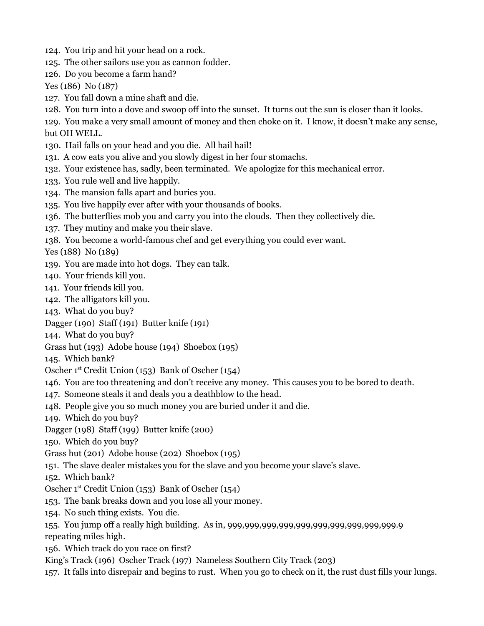- 124. You trip and hit your head on a rock.
- 125. The other sailors use you as cannon fodder.
- 126. Do you become a farm hand?

Yes (186) No (187)

- 127. You fall down a mine shaft and die.
- 128. You turn into a dove and swoop off into the sunset. It turns out the sun is closer than it looks.

129. You make a very small amount of money and then choke on it. I know, it doesn't make any sense, but OH WELL.

- 130. Hail falls on your head and you die. All hail hail!
- 131. A cow eats you alive and you slowly digest in her four stomachs.
- 132. Your existence has, sadly, been terminated. We apologize for this mechanical error.
- 133. You rule well and live happily.
- 134. The mansion falls apart and buries you.
- 135. You live happily ever after with your thousands of books.
- 136. The butterflies mob you and carry you into the clouds. Then they collectively die.
- 137. They mutiny and make you their slave.
- 138. You become a world-famous chef and get everything you could ever want.

Yes (188) No (189)

- 139. You are made into hot dogs. They can talk.
- 140. Your friends kill you.
- 141. Your friends kill you.
- 142. The alligators kill you.
- 143. What do you buy?
- Dagger (190) Staff (191) Butter knife (191)
- 144. What do you buy?
- Grass hut (193) Adobe house (194) Shoebox (195)
- 145. Which bank?

Oscher 1 st Credit Union (153) Bank of Oscher (154)

- 146. You are too threatening and don't receive any money. This causes you to be bored to death.
- 147. Someone steals it and deals you a deathblow to the head.
- 148. People give you so much money you are buried under it and die.
- 149. Which do you buy?
- Dagger (198) Staff (199) Butter knife (200)
- 150. Which do you buy?
- Grass hut (201) Adobe house (202) Shoebox (195)
- 151. The slave dealer mistakes you for the slave and you become your slave's slave.

152. Which bank?

- Oscher 1 st Credit Union (153) Bank of Oscher (154)
- 153. The bank breaks down and you lose all your money.
- 154. No such thing exists. You die.
- 155. You jump off a really high building. As in, 999,999,999,999,999,999,999,999,999,999.9 repeating miles high.
- 156. Which track do you race on first?
- King's Track (196) Oscher Track (197) Nameless Southern City Track (203)
- 157. It falls into disrepair and begins to rust. When you go to check on it, the rust dust fills your lungs.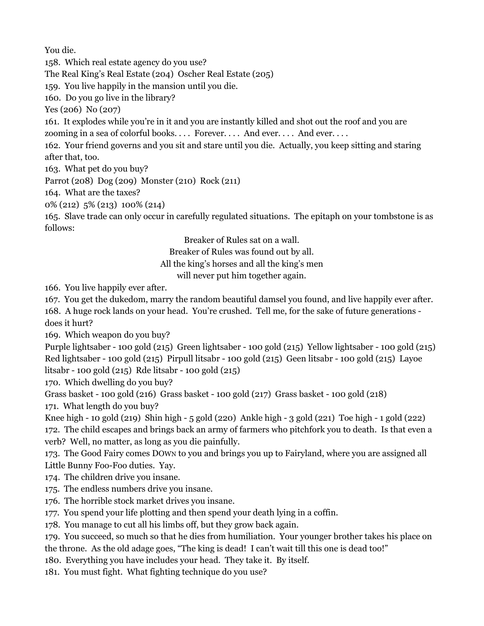You die.

158. Which real estate agency do you use?

The Real King's Real Estate (204) Oscher Real Estate (205)

159. You live happily in the mansion until you die.

160. Do you go live in the library?

Yes (206) No (207)

161. It explodes while you're in it and you are instantly killed and shot out the roof and you are zooming in a sea of colorful books. . . . Forever. . . . And ever. . . . And ever. . . .

162. Your friend governs and you sit and stare until you die. Actually, you keep sitting and staring after that, too.

163. What pet do you buy?

Parrot (208) Dog (209) Monster (210) Rock (211)

164. What are the taxes?

0% (212) 5% (213) 100% (214)

165. Slave trade can only occur in carefully regulated situations. The epitaph on your tombstone is as follows:

Breaker of Rules sat on a wall.

Breaker of Rules was found out by all.

All the king's horses and all the king's men

will never put him together again.

166. You live happily ever after.

167. You get the dukedom, marry the random beautiful damsel you found, and live happily ever after.

168. A huge rock lands on your head. You're crushed. Tell me, for the sake of future generations does it hurt?

169. Which weapon do you buy?

Purple lightsaber - 100 gold (215) Green lightsaber - 100 gold (215) Yellow lightsaber - 100 gold (215) Red lightsaber - 100 gold (215) Pirpull litsabr - 100 gold (215) Geen litsabr - 100 gold (215) Layoe litsabr - 100 gold (215) Rde litsabr - 100 gold (215)

170. Which dwelling do you buy?

Grass basket - 100 gold (216) Grass basket - 100 gold (217) Grass basket - 100 gold (218)

171. What length do you buy?

Knee high - 10 gold (219) Shin high - 5 gold (220) Ankle high - 3 gold (221) Toe high - 1 gold (222) 172. The child escapes and brings back an army of farmers who pitchfork you to death. Is that even a verb? Well, no matter, as long as you die painfully.

173. The Good Fairy comes DOWN to you and brings you up to Fairyland, where you are assigned all Little Bunny Foo-Foo duties. Yay.

174. The children drive you insane.

175. The endless numbers drive you insane.

176. The horrible stock market drives you insane.

177. You spend your life plotting and then spend your death lying in a coffin.

178. You manage to cut all his limbs off, but they grow back again.

179. You succeed, so much so that he dies from humiliation. Your younger brother takes his place on the throne. As the old adage goes, "The king is dead! I can't wait till this one is dead too!"

180. Everything you have includes your head. They take it. By itself.

181. You must fight. What fighting technique do you use?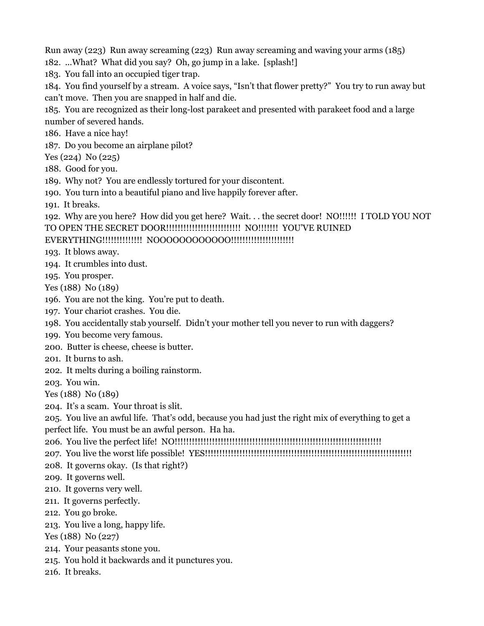Run away (223) Run away screaming (223) Run away screaming and waving your arms (185)

182. ...What? What did you say? Oh, go jump in a lake. [splash!]

183. You fall into an occupied tiger trap.

184. You find yourself by a stream. A voice says, "Isn't that flower pretty?" You try to run away but can't move. Then you are snapped in half and die.

185. You are recognized as their long-lost parakeet and presented with parakeet food and a large number of severed hands.

186. Have a nice hay!

187. Do you become an airplane pilot?

Yes (224) No (225)

188. Good for you.

189. Why not? You are endlessly tortured for your discontent.

190. You turn into a beautiful piano and live happily forever after.

191. It breaks.

192. Why are you here? How did you get here? Wait. . . the secret door! NO!!!!!! I TOLD YOU NOT TO OPEN THE SECRET DOOR!!!!!!!!!!!!!!!!!!!!!!!!!! NO!!!!!!! YOU'VE RUINED

## EVERYTHING!!!!!!!!!!!!!! NOOOOOOOOOOOO!!!!!!!!!!!!!!!!!!!!!!

- 193. It blows away.
- 194. It crumbles into dust.
- 195. You prosper.

Yes (188) No (189)

- 196. You are not the king. You're put to death.
- 197. Your chariot crashes. You die.
- 198. You accidentally stab yourself. Didn't your mother tell you never to run with daggers?
- 199. You become very famous.
- 200. Butter is cheese, cheese is butter.
- 201. It burns to ash.
- 202. It melts during a boiling rainstorm.

203. You win.

Yes (188) No (189)

204. It's a scam. Your throat is slit.

205. You live an awful life. That's odd, because you had just the right mix of everything to get a perfect life. You must be an awful person. Ha ha.

206. You live the perfect life! NO!!!!!!!!!!!!!!!!!!!!!!!!!!!!!!!!!!!!!!!!!!!!!!!!!!!!!!!!!!!!!!!!!!!!!!!!

207. You live the worst life possible! YES!!!!!!!!!!!!!!!!!!!!!!!!!!!!!!!!!!!!!!!!!!!!!!!!!!!!!!!!!!!!!!!!!!!!!!!!

208. It governs okay. (Is that right?)

209. It governs well.

- 210. It governs very well.
- 211. It governs perfectly.
- 212. You go broke.
- 213. You live a long, happy life.

Yes (188) No (227)

- 214. Your peasants stone you.
- 215. You hold it backwards and it punctures you.
- 216. It breaks.